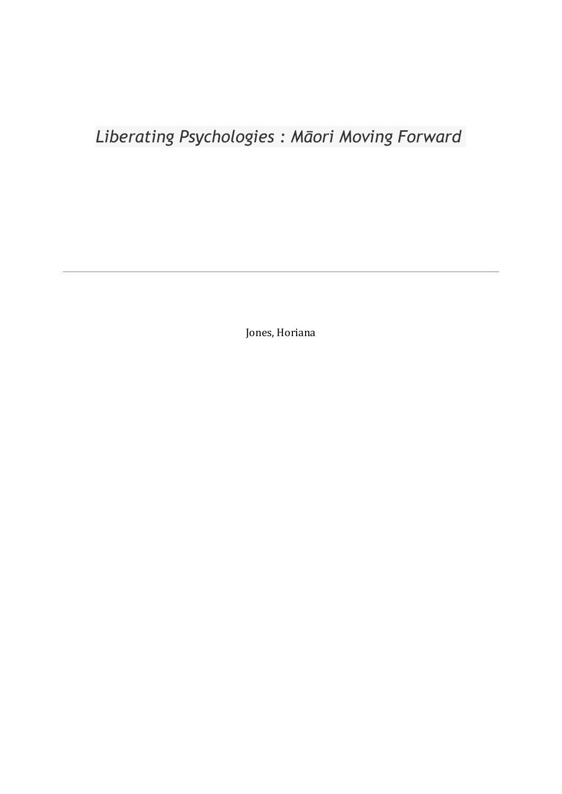# *Liberating Psychologies : Māori Moving Forward*

Jones, Horiana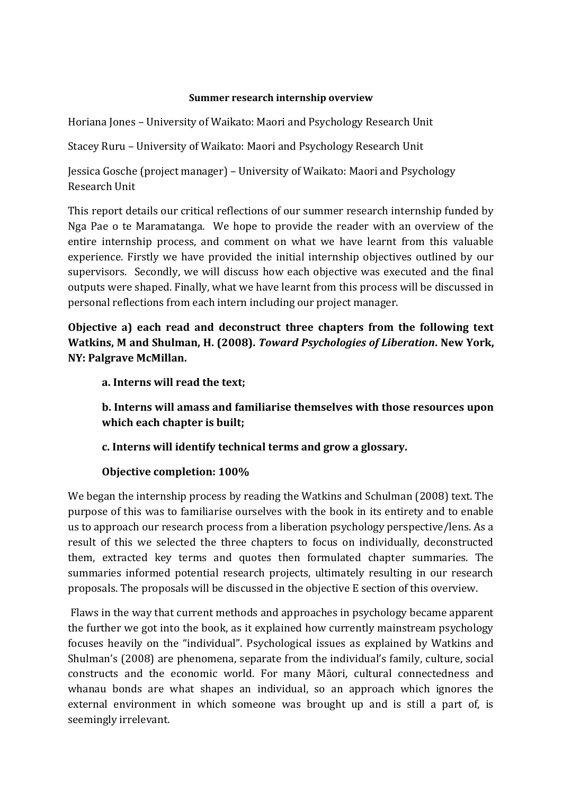# **Summer research internship overview**

Horiana Jones – University of Waikato: Maori and Psychology Research Unit

Stacey Ruru – University of Waikato: Maori and Psychology Research Unit

Jessica Gosche (project manager) – University of Waikato: Maori and Psychology Research Unit

This report details our critical reflections of our summer research internship funded by Nga Pae o te Maramatanga. We hope to provide the reader with an overview of the entire internship process, and comment on what we have learnt from this valuable experience. Firstly we have provided the initial internship objectives outlined by our supervisors. Secondly, we will discuss how each objective was executed and the final outputs were shaped. Finally, what we have learnt from this process will be discussed in personal reflections from each intern including our project manager.

**Objective a) each read and deconstruct three chapters from the following text Watkins, M and Shulman, H. (2008).** *Toward Psychologies of Liberation***. New York, NY: Palgrave McMillan.**

# **a. Interns will read the text;**

**b. Interns will amass and familiarise themselves with those resources upon which each chapter is built;**

**c. Interns will identify technical terms and grow a glossary.**

# **Objective completion: 100%**

We began the internship process by reading the Watkins and Schulman (2008) text. The purpose of this was to familiarise ourselves with the book in its entirety and to enable us to approach our research process from a liberation psychology perspective/lens. As a result of this we selected the three chapters to focus on individually, deconstructed them, extracted key terms and quotes then formulated chapter summaries. The summaries informed potential research projects, ultimately resulting in our research proposals. The proposals will be discussed in the objective E section of this overview.

Flaws in the way that current methods and approaches in psychology became apparent the further we got into the book, as it explained how currently mainstream psychology focuses heavily on the "individual". Psychological issues as explained by Watkins and Shulman's (2008) are phenomena, separate from the individual's family, culture, social constructs and the economic world. For many Māori, cultural connectedness and whanau bonds are what shapes an individual, so an approach which ignores the external environment in which someone was brought up and is still a part of, is seemingly irrelevant.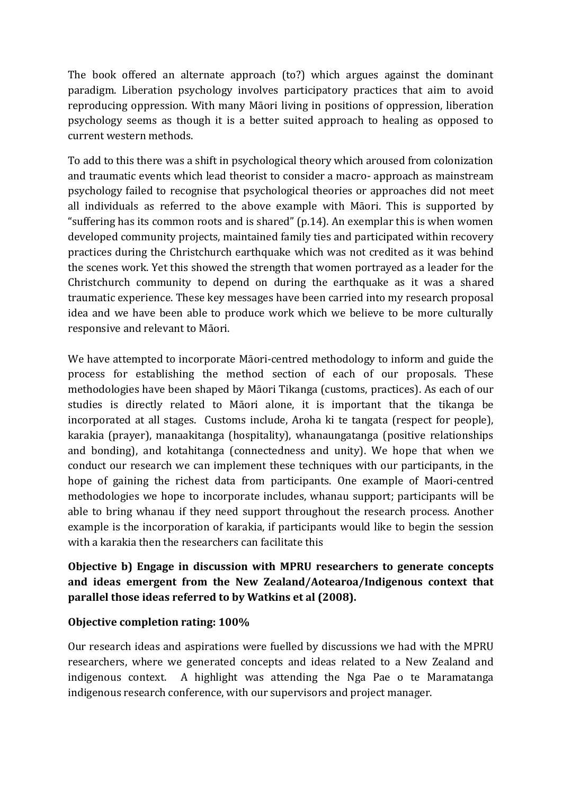The book offered an alternate approach (to?) which argues against the dominant paradigm. Liberation psychology involves participatory practices that aim to avoid reproducing oppression. With many Māori living in positions of oppression, liberation psychology seems as though it is a better suited approach to healing as opposed to current western methods.

To add to this there was a shift in psychological theory which aroused from colonization and traumatic events which lead theorist to consider a macro- approach as mainstream psychology failed to recognise that psychological theories or approaches did not meet all individuals as referred to the above example with Māori. This is supported by "suffering has its common roots and is shared" (p.14). An exemplar this is when women developed community projects, maintained family ties and participated within recovery practices during the Christchurch earthquake which was not credited as it was behind the scenes work. Yet this showed the strength that women portrayed as a leader for the Christchurch community to depend on during the earthquake as it was a shared traumatic experience. These key messages have been carried into my research proposal idea and we have been able to produce work which we believe to be more culturally responsive and relevant to Māori.

We have attempted to incorporate Māori-centred methodology to inform and guide the process for establishing the method section of each of our proposals. These methodologies have been shaped by Māori Tikanga (customs, practices). As each of our studies is directly related to Māori alone, it is important that the tikanga be incorporated at all stages. Customs include, Aroha ki te tangata (respect for people), karakia (prayer), manaakitanga (hospitality), whanaungatanga (positive relationships and bonding), and kotahitanga (connectedness and unity). We hope that when we conduct our research we can implement these techniques with our participants, in the hope of gaining the richest data from participants. One example of Maori-centred methodologies we hope to incorporate includes, whanau support; participants will be able to bring whanau if they need support throughout the research process. Another example is the incorporation of karakia, if participants would like to begin the session with a karakia then the researchers can facilitate this

# **Objective b) Engage in discussion with MPRU researchers to generate concepts and ideas emergent from the New Zealand/Aotearoa/Indigenous context that parallel those ideas referred to by Watkins et al (2008).**

# **Objective completion rating: 100%**

Our research ideas and aspirations were fuelled by discussions we had with the MPRU researchers, where we generated concepts and ideas related to a New Zealand and indigenous context. A highlight was attending the Nga Pae o te Maramatanga indigenous research conference, with our supervisors and project manager.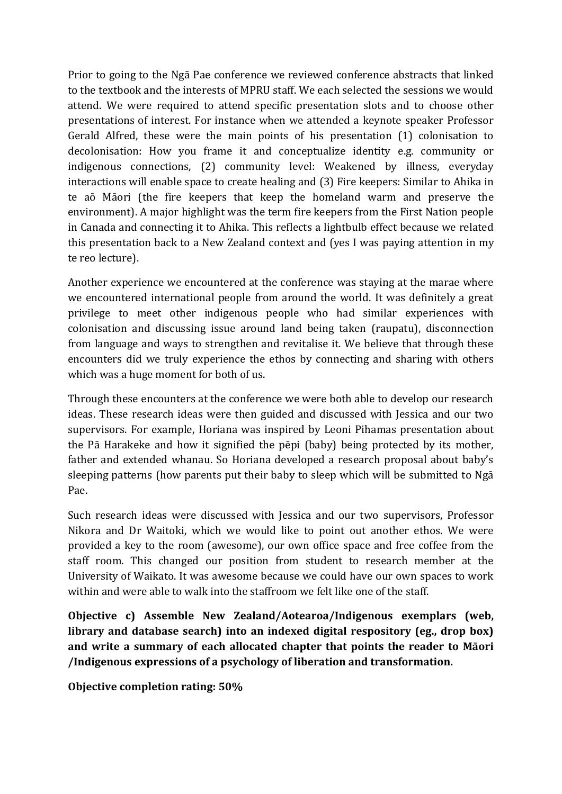Prior to going to the Ngā Pae conference we reviewed conference abstracts that linked to the textbook and the interests of MPRU staff. We each selected the sessions we would attend. We were required to attend specific presentation slots and to choose other presentations of interest. For instance when we attended a keynote speaker Professor Gerald Alfred, these were the main points of his presentation (1) colonisation to decolonisation: How you frame it and conceptualize identity e.g. community or indigenous connections, (2) community level: Weakened by illness, everyday interactions will enable space to create healing and (3) Fire keepers: Similar to Ahika in te aō Māori (the fire keepers that keep the homeland warm and preserve the environment). A major highlight was the term fire keepers from the First Nation people in Canada and connecting it to Ahika. This reflects a lightbulb effect because we related this presentation back to a New Zealand context and (yes I was paying attention in my te reo lecture).

Another experience we encountered at the conference was staying at the marae where we encountered international people from around the world. It was definitely a great privilege to meet other indigenous people who had similar experiences with colonisation and discussing issue around land being taken (raupatu), disconnection from language and ways to strengthen and revitalise it. We believe that through these encounters did we truly experience the ethos by connecting and sharing with others which was a huge moment for both of us.

Through these encounters at the conference we were both able to develop our research ideas. These research ideas were then guided and discussed with Jessica and our two supervisors. For example, Horiana was inspired by Leoni Pihamas presentation about the Pā Harakeke and how it signified the pēpi (baby) being protected by its mother, father and extended whanau. So Horiana developed a research proposal about baby's sleeping patterns (how parents put their baby to sleep which will be submitted to Ngā Pae.

Such research ideas were discussed with Jessica and our two supervisors, Professor Nikora and Dr Waitoki, which we would like to point out another ethos. We were provided a key to the room (awesome), our own office space and free coffee from the staff room. This changed our position from student to research member at the University of Waikato. It was awesome because we could have our own spaces to work within and were able to walk into the staffroom we felt like one of the staff.

**Objective c) Assemble New Zealand/Aotearoa/Indigenous exemplars (web, library and database search) into an indexed digital respository (eg., drop box) and write a summary of each allocated chapter that points the reader to Māori /Indigenous expressions of a psychology of liberation and transformation.**

**Objective completion rating: 50%**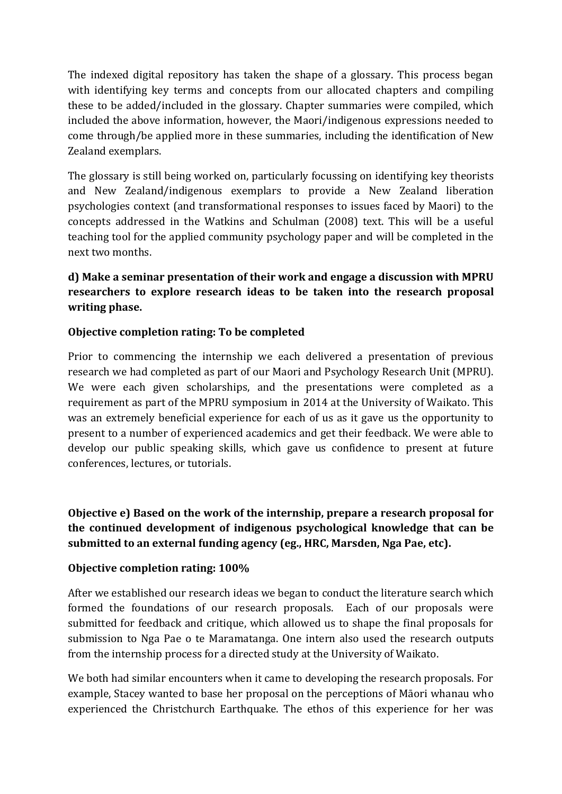The indexed digital repository has taken the shape of a glossary. This process began with identifying key terms and concepts from our allocated chapters and compiling these to be added/included in the glossary. Chapter summaries were compiled, which included the above information, however, the Maori/indigenous expressions needed to come through/be applied more in these summaries, including the identification of New Zealand exemplars.

The glossary is still being worked on, particularly focussing on identifying key theorists and New Zealand/indigenous exemplars to provide a New Zealand liberation psychologies context (and transformational responses to issues faced by Maori) to the concepts addressed in the Watkins and Schulman (2008) text. This will be a useful teaching tool for the applied community psychology paper and will be completed in the next two months.

# **d) Make a seminar presentation of their work and engage a discussion with MPRU researchers to explore research ideas to be taken into the research proposal writing phase.**

# **Objective completion rating: To be completed**

Prior to commencing the internship we each delivered a presentation of previous research we had completed as part of our Maori and Psychology Research Unit (MPRU). We were each given scholarships, and the presentations were completed as a requirement as part of the MPRU symposium in 2014 at the University of Waikato. This was an extremely beneficial experience for each of us as it gave us the opportunity to present to a number of experienced academics and get their feedback. We were able to develop our public speaking skills, which gave us confidence to present at future conferences, lectures, or tutorials.

**Objective e) Based on the work of the internship, prepare a research proposal for the continued development of indigenous psychological knowledge that can be submitted to an external funding agency (eg., HRC, Marsden, Nga Pae, etc).**

# **Objective completion rating: 100%**

After we established our research ideas we began to conduct the literature search which formed the foundations of our research proposals. Each of our proposals were submitted for feedback and critique, which allowed us to shape the final proposals for submission to Nga Pae o te Maramatanga. One intern also used the research outputs from the internship process for a directed study at the University of Waikato.

We both had similar encounters when it came to developing the research proposals. For example, Stacey wanted to base her proposal on the perceptions of Māori whanau who experienced the Christchurch Earthquake. The ethos of this experience for her was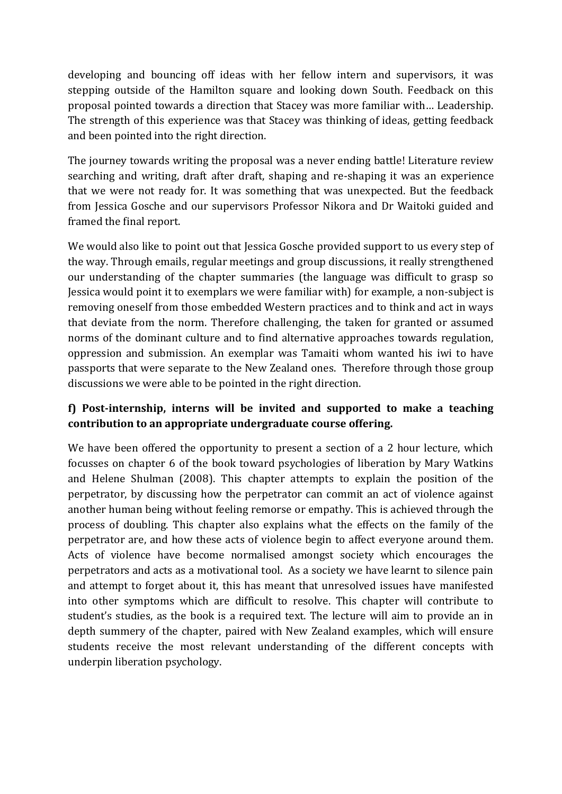developing and bouncing off ideas with her fellow intern and supervisors, it was stepping outside of the Hamilton square and looking down South. Feedback on this proposal pointed towards a direction that Stacey was more familiar with… Leadership. The strength of this experience was that Stacey was thinking of ideas, getting feedback and been pointed into the right direction.

The journey towards writing the proposal was a never ending battle! Literature review searching and writing, draft after draft, shaping and re-shaping it was an experience that we were not ready for. It was something that was unexpected. But the feedback from Jessica Gosche and our supervisors Professor Nikora and Dr Waitoki guided and framed the final report.

We would also like to point out that Jessica Gosche provided support to us every step of the way. Through emails, regular meetings and group discussions, it really strengthened our understanding of the chapter summaries (the language was difficult to grasp so Jessica would point it to exemplars we were familiar with) for example, a non-subject is removing oneself from those embedded Western practices and to think and act in ways that deviate from the norm. Therefore challenging, the taken for granted or assumed norms of the dominant culture and to find alternative approaches towards regulation, oppression and submission. An exemplar was Tamaiti whom wanted his iwi to have passports that were separate to the New Zealand ones. Therefore through those group discussions we were able to be pointed in the right direction.

# **f) Post-internship, interns will be invited and supported to make a teaching contribution to an appropriate undergraduate course offering.**

We have been offered the opportunity to present a section of a 2 hour lecture, which focusses on chapter 6 of the book toward psychologies of liberation by Mary Watkins and Helene Shulman (2008). This chapter attempts to explain the position of the perpetrator, by discussing how the perpetrator can commit an act of violence against another human being without feeling remorse or empathy. This is achieved through the process of doubling. This chapter also explains what the effects on the family of the perpetrator are, and how these acts of violence begin to affect everyone around them. Acts of violence have become normalised amongst society which encourages the perpetrators and acts as a motivational tool. As a society we have learnt to silence pain and attempt to forget about it, this has meant that unresolved issues have manifested into other symptoms which are difficult to resolve. This chapter will contribute to student's studies, as the book is a required text. The lecture will aim to provide an in depth summery of the chapter, paired with New Zealand examples, which will ensure students receive the most relevant understanding of the different concepts with underpin liberation psychology.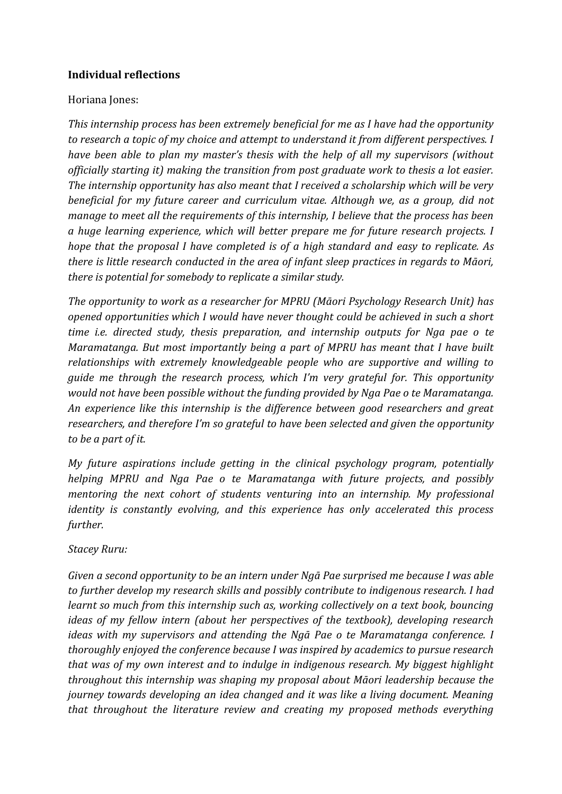# **Individual reflections**

# Horiana Jones:

*This internship process has been extremely beneficial for me as I have had the opportunity to research a topic of my choice and attempt to understand it from different perspectives. I have been able to plan my master's thesis with the help of all my supervisors (without officially starting it) making the transition from post graduate work to thesis a lot easier. The internship opportunity has also meant that I received a scholarship which will be very beneficial for my future career and curriculum vitae. Although we, as a group, did not manage to meet all the requirements of this internship, I believe that the process has been a huge learning experience, which will better prepare me for future research projects. I hope that the proposal I have completed is of a high standard and easy to replicate. As there is little research conducted in the area of infant sleep practices in regards to Māori, there is potential for somebody to replicate a similar study.*

*The opportunity to work as a researcher for MPRU (Māori Psychology Research Unit) has opened opportunities which I would have never thought could be achieved in such a short time i.e. directed study, thesis preparation, and internship outputs for Nga pae o te Maramatanga. But most importantly being a part of MPRU has meant that I have built relationships with extremely knowledgeable people who are supportive and willing to guide me through the research process, which I'm very grateful for. This opportunity would not have been possible without the funding provided by Nga Pae o te Maramatanga. An experience like this internship is the difference between good researchers and great researchers, and therefore I'm so grateful to have been selected and given the opportunity to be a part of it.* 

*My future aspirations include getting in the clinical psychology program, potentially helping MPRU and Nga Pae o te Maramatanga with future projects, and possibly mentoring the next cohort of students venturing into an internship. My professional identity is constantly evolving, and this experience has only accelerated this process further.* 

# *Stacey Ruru:*

*Given a second opportunity to be an intern under Ngā Pae surprised me because I was able to further develop my research skills and possibly contribute to indigenous research. I had learnt so much from this internship such as, working collectively on a text book, bouncing ideas of my fellow intern (about her perspectives of the textbook), developing research ideas with my supervisors and attending the Ngā Pae o te Maramatanga conference. I thoroughly enjoyed the conference because I was inspired by academics to pursue research that was of my own interest and to indulge in indigenous research. My biggest highlight throughout this internship was shaping my proposal about Māori leadership because the journey towards developing an idea changed and it was like a living document. Meaning that throughout the literature review and creating my proposed methods everything*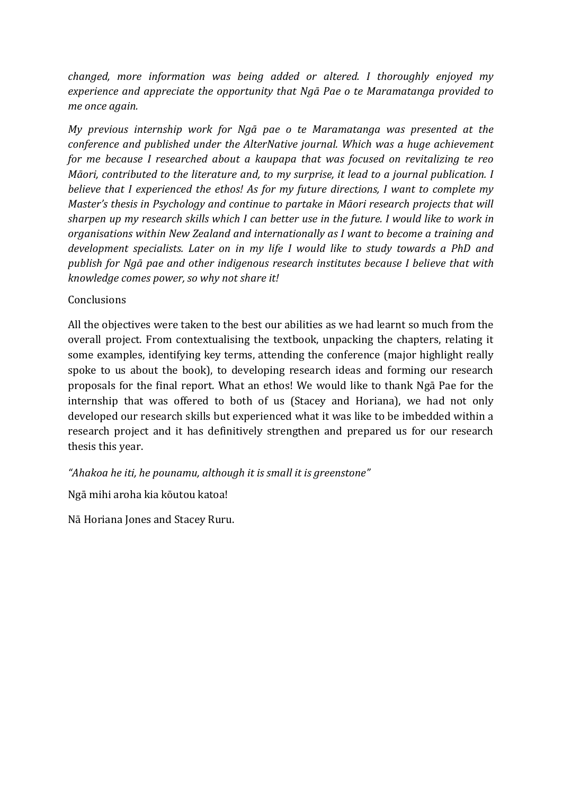*changed, more information was being added or altered. I thoroughly enjoyed my experience and appreciate the opportunity that Ngā Pae o te Maramatanga provided to me once again.* 

*My previous internship work for Ngā pae o te Maramatanga was presented at the conference and published under the AlterNative journal. Which was a huge achievement for me because I researched about a kaupapa that was focused on revitalizing te reo Māori, contributed to the literature and, to my surprise, it lead to a journal publication. I believe that I experienced the ethos! As for my future directions, I want to complete my Master's thesis in Psychology and continue to partake in Māori research projects that will sharpen up my research skills which I can better use in the future. I would like to work in organisations within New Zealand and internationally as I want to become a training and development specialists. Later on in my life I would like to study towards a PhD and publish for Ngā pae and other indigenous research institutes because I believe that with knowledge comes power, so why not share it!*

# **Conclusions**

All the objectives were taken to the best our abilities as we had learnt so much from the overall project. From contextualising the textbook, unpacking the chapters, relating it some examples, identifying key terms, attending the conference (major highlight really spoke to us about the book), to developing research ideas and forming our research proposals for the final report. What an ethos! We would like to thank Ngā Pae for the internship that was offered to both of us (Stacey and Horiana), we had not only developed our research skills but experienced what it was like to be imbedded within a research project and it has definitively strengthen and prepared us for our research thesis this year.

*"Ahakoa he iti, he pounamu, although it is small it is greenstone"*

Ngā mihi aroha kia kōutou katoa!

Nā Horiana Jones and Stacey Ruru.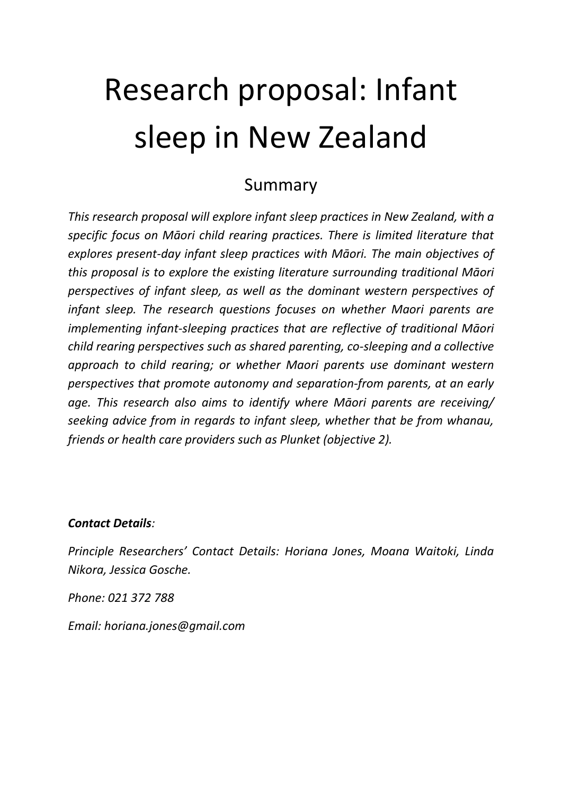# Research proposal: Infant sleep in New Zealand

# Summary

*This research proposal will explore infant sleep practices in New Zealand, with a specific focus on Māori child rearing practices. There is limited literature that explores present-day infant sleep practices with Māori. The main objectives of this proposal is to explore the existing literature surrounding traditional Māori perspectives of infant sleep, as well as the dominant western perspectives of infant sleep. The research questions focuses on whether Maori parents are implementing infant-sleeping practices that are reflective of traditional Māori child rearing perspectives such as shared parenting, co-sleeping and a collective approach to child rearing; or whether Maori parents use dominant western perspectives that promote autonomy and separation-from parents, at an early age. This research also aims to identify where Māori parents are receiving/ seeking advice from in regards to infant sleep, whether that be from whanau, friends or health care providers such as Plunket (objective 2).* 

# *Contact Details:*

*Principle Researchers' Contact Details: Horiana Jones, Moana Waitoki, Linda Nikora, Jessica Gosche.*

*Phone: 021 372 788*

*Email: horiana.jones@gmail.com*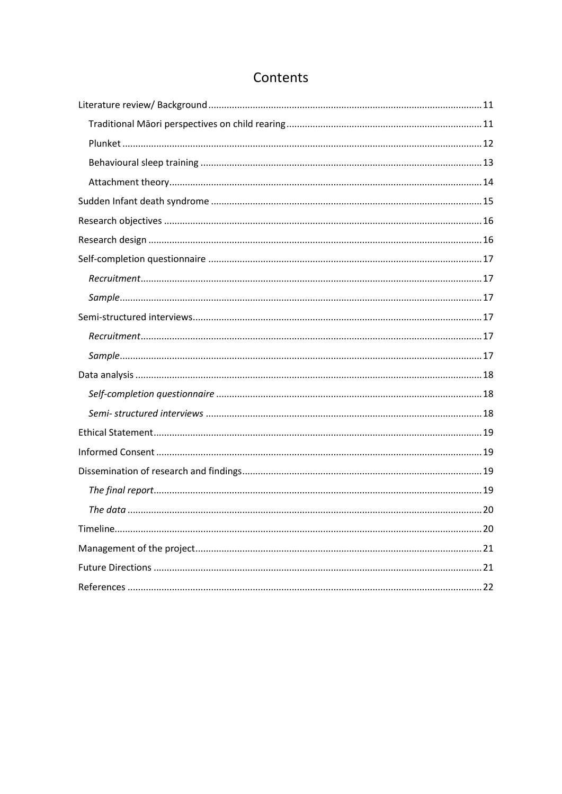# Contents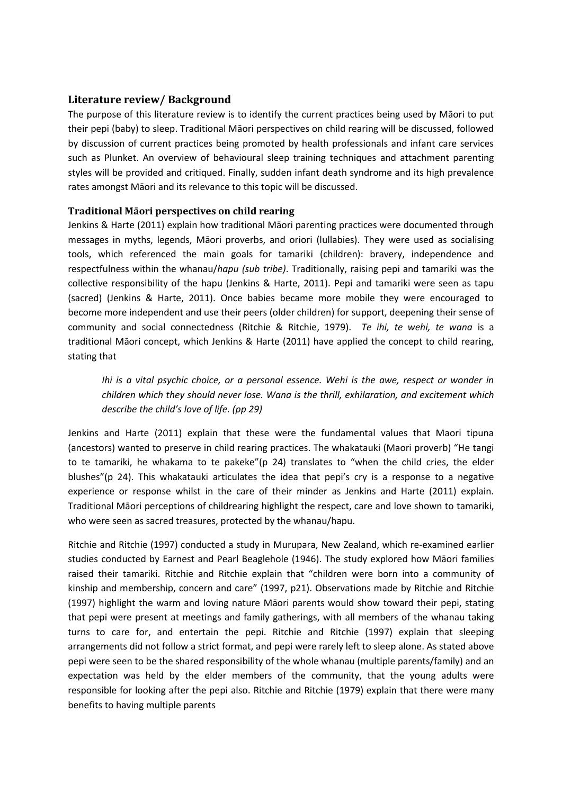#### <span id="page-10-0"></span>**Literature review/ Background**

The purpose of this literature review is to identify the current practices being used by Māori to put their pepi (baby) to sleep. Traditional Māori perspectives on child rearing will be discussed, followed by discussion of current practices being promoted by health professionals and infant care services such as Plunket. An overview of behavioural sleep training techniques and attachment parenting styles will be provided and critiqued. Finally, sudden infant death syndrome and its high prevalence rates amongst Māori and its relevance to this topic will be discussed.

#### <span id="page-10-1"></span>**Traditional Māori perspectives on child rearing**

Jenkins & Harte (2011) explain how traditional Māori parenting practices were documented through messages in myths, legends, Māori proverbs, and oriori (lullabies). They were used as socialising tools, which referenced the main goals for tamariki (children): bravery, independence and respectfulness within the whanau/*hapu (sub tribe)*. Traditionally, raising pepi and tamariki was the collective responsibility of the hapu (Jenkins & Harte, 2011). Pepi and tamariki were seen as tapu (sacred) (Jenkins & Harte, 2011). Once babies became more mobile they were encouraged to become more independent and use their peers (older children) for support, deepening their sense of community and social connectedness (Ritchie & Ritchie, 1979). *Te ihi, te wehi, te wana* is a traditional Māori concept, which Jenkins & Harte (2011) have applied the concept to child rearing, stating that

*Ihi is a vital psychic choice, or a personal essence. Wehi is the awe, respect or wonder in children which they should never lose. Wana is the thrill, exhilaration, and excitement which describe the child's love of life. (pp 29)*

Jenkins and Harte (2011) explain that these were the fundamental values that Maori tipuna (ancestors) wanted to preserve in child rearing practices. The whakatauki (Maori proverb) "He tangi to te tamariki, he whakama to te pakeke"(p 24) translates to "when the child cries, the elder blushes"(p 24). This whakatauki articulates the idea that pepi's cry is a response to a negative experience or response whilst in the care of their minder as Jenkins and Harte (2011) explain. Traditional Māori perceptions of childrearing highlight the respect, care and love shown to tamariki, who were seen as sacred treasures, protected by the whanau/hapu.

Ritchie and Ritchie (1997) conducted a study in Murupara, New Zealand, which re-examined earlier studies conducted by Earnest and Pearl Beaglehole (1946). The study explored how Māori families raised their tamariki. Ritchie and Ritchie explain that "children were born into a community of kinship and membership, concern and care" (1997, p21). Observations made by Ritchie and Ritchie (1997) highlight the warm and loving nature Māori parents would show toward their pepi, stating that pepi were present at meetings and family gatherings, with all members of the whanau taking turns to care for, and entertain the pepi. Ritchie and Ritchie (1997) explain that sleeping arrangements did not follow a strict format, and pepi were rarely left to sleep alone. As stated above pepi were seen to be the shared responsibility of the whole whanau (multiple parents/family) and an expectation was held by the elder members of the community, that the young adults were responsible for looking after the pepi also. Ritchie and Ritchie (1979) explain that there were many benefits to having multiple parents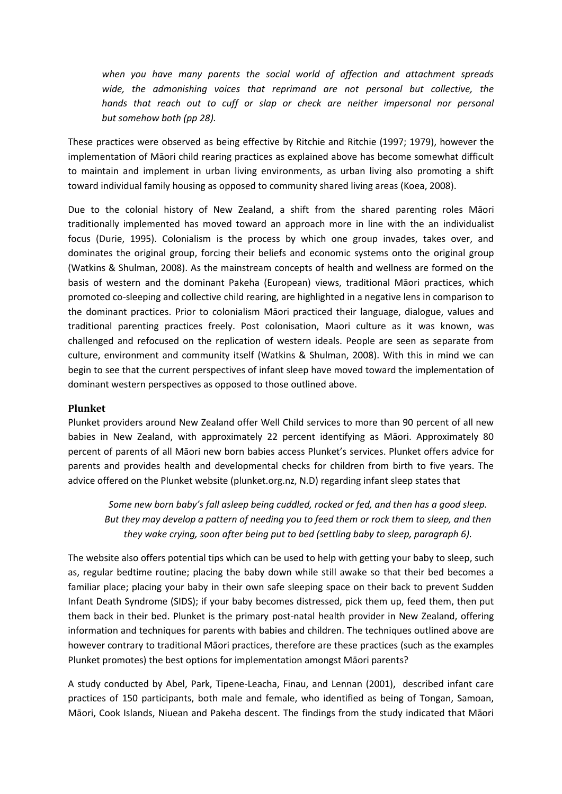*when you have many parents the social world of affection and attachment spreads*  wide, the admonishing voices that reprimand are not personal but collective, the *hands that reach out to cuff or slap or check are neither impersonal nor personal but somehow both (pp 28).*

These practices were observed as being effective by Ritchie and Ritchie (1997; 1979), however the implementation of Māori child rearing practices as explained above has become somewhat difficult to maintain and implement in urban living environments, as urban living also promoting a shift toward individual family housing as opposed to community shared living areas (Koea, 2008).

Due to the colonial history of New Zealand, a shift from the shared parenting roles Māori traditionally implemented has moved toward an approach more in line with the an individualist focus (Durie, 1995). Colonialism is the process by which one group invades, takes over, and dominates the original group, forcing their beliefs and economic systems onto the original group (Watkins & Shulman, 2008). As the mainstream concepts of health and wellness are formed on the basis of western and the dominant Pakeha (European) views, traditional Māori practices, which promoted co-sleeping and collective child rearing, are highlighted in a negative lens in comparison to the dominant practices. Prior to colonialism Māori practiced their language, dialogue, values and traditional parenting practices freely. Post colonisation, Maori culture as it was known, was challenged and refocused on the replication of western ideals. People are seen as separate from culture, environment and community itself (Watkins & Shulman, 2008). With this in mind we can begin to see that the current perspectives of infant sleep have moved toward the implementation of dominant western perspectives as opposed to those outlined above.

#### <span id="page-11-0"></span>**Plunket**

Plunket providers around New Zealand offer Well Child services to more than 90 percent of all new babies in New Zealand, with approximately 22 percent identifying as Māori. Approximately 80 percent of parents of all Māori new born babies access Plunket's services. Plunket offers advice for parents and provides health and developmental checks for children from birth to five years. The advice offered on the Plunket website (plunket.org.nz, N.D) regarding infant sleep states that

*Some new born baby's fall asleep being cuddled, rocked or fed, and then has a good sleep. But they may develop a pattern of needing you to feed them or rock them to sleep, and then they wake crying, soon after being put to bed (settling baby to sleep, paragraph 6).*

The website also offers potential tips which can be used to help with getting your baby to sleep, such as, regular bedtime routine; placing the baby down while still awake so that their bed becomes a familiar place; placing your baby in their own safe sleeping space on their back to prevent Sudden Infant Death Syndrome (SIDS); if your baby becomes distressed, pick them up, feed them, then put them back in their bed. Plunket is the primary post-natal health provider in New Zealand, offering information and techniques for parents with babies and children. The techniques outlined above are however contrary to traditional Māori practices, therefore are these practices (such as the examples Plunket promotes) the best options for implementation amongst Māori parents?

A study conducted by Abel, Park, Tipene-Leacha, Finau, and Lennan (2001), described infant care practices of 150 participants, both male and female, who identified as being of Tongan, Samoan, Māori, Cook Islands, Niuean and Pakeha descent. The findings from the study indicated that Māori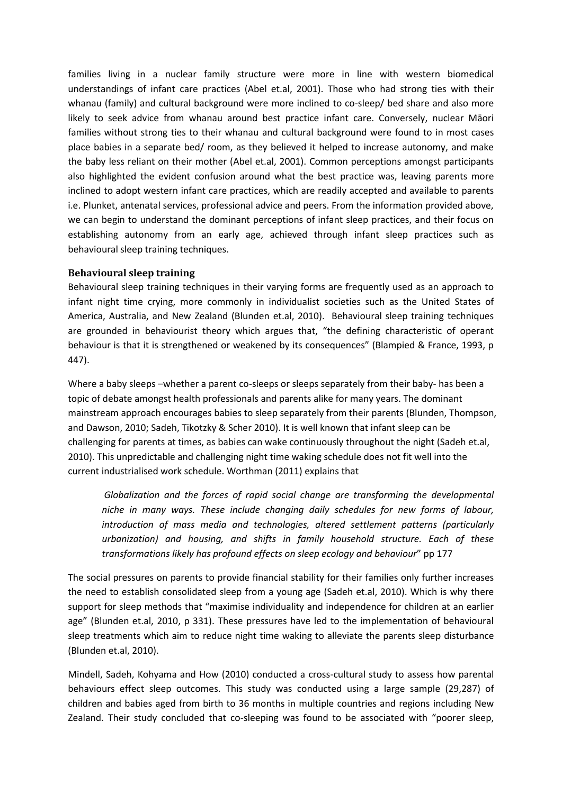families living in a nuclear family structure were more in line with western biomedical understandings of infant care practices (Abel et.al, 2001). Those who had strong ties with their whanau (family) and cultural background were more inclined to co-sleep/ bed share and also more likely to seek advice from whanau around best practice infant care. Conversely, nuclear Māori families without strong ties to their whanau and cultural background were found to in most cases place babies in a separate bed/ room, as they believed it helped to increase autonomy, and make the baby less reliant on their mother (Abel et.al, 2001). Common perceptions amongst participants also highlighted the evident confusion around what the best practice was, leaving parents more inclined to adopt western infant care practices, which are readily accepted and available to parents i.e. Plunket, antenatal services, professional advice and peers. From the information provided above, we can begin to understand the dominant perceptions of infant sleep practices, and their focus on establishing autonomy from an early age, achieved through infant sleep practices such as behavioural sleep training techniques.

#### <span id="page-12-0"></span>**Behavioural sleep training**

Behavioural sleep training techniques in their varying forms are frequently used as an approach to infant night time crying, more commonly in individualist societies such as the United States of America, Australia, and New Zealand (Blunden et.al, 2010). Behavioural sleep training techniques are grounded in behaviourist theory which argues that, "the defining characteristic of operant behaviour is that it is strengthened or weakened by its consequences" (Blampied & France, 1993, p 447).

Where a baby sleeps –whether a parent co-sleeps or sleeps separately from their baby- has been a topic of debate amongst health professionals and parents alike for many years. The dominant mainstream approach encourages babies to sleep separately from their parents (Blunden, Thompson, and Dawson, 2010; Sadeh, Tikotzky & Scher 2010). It is well known that infant sleep can be challenging for parents at times, as babies can wake continuously throughout the night (Sadeh et.al, 2010). This unpredictable and challenging night time waking schedule does not fit well into the current industrialised work schedule. Worthman (2011) explains that

*Globalization and the forces of rapid social change are transforming the developmental niche in many ways. These include changing daily schedules for new forms of labour, introduction of mass media and technologies, altered settlement patterns (particularly urbanization) and housing, and shifts in family household structure. Each of these transformations likely has profound effects on sleep ecology and behaviour*" pp 177

The social pressures on parents to provide financial stability for their families only further increases the need to establish consolidated sleep from a young age (Sadeh et.al, 2010). Which is why there support for sleep methods that "maximise individuality and independence for children at an earlier age" (Blunden et.al, 2010, p 331). These pressures have led to the implementation of behavioural sleep treatments which aim to reduce night time waking to alleviate the parents sleep disturbance (Blunden et.al, 2010).

Mindell, Sadeh, Kohyama and How (2010) conducted a cross-cultural study to assess how parental behaviours effect sleep outcomes. This study was conducted using a large sample (29,287) of children and babies aged from birth to 36 months in multiple countries and regions including New Zealand. Their study concluded that co-sleeping was found to be associated with "poorer sleep,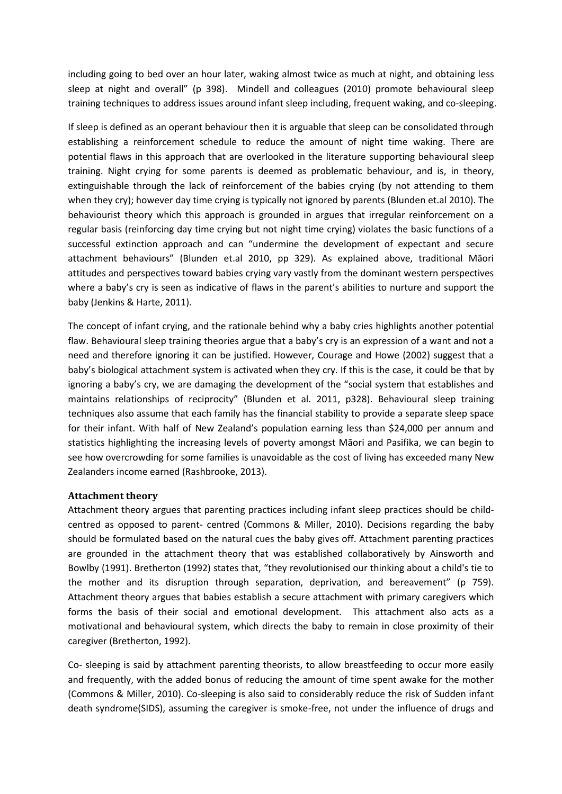including going to bed over an hour later, waking almost twice as much at night, and obtaining less sleep at night and overall" (p 398). Mindell and colleagues (2010) promote behavioural sleep training techniques to address issues around infant sleep including, frequent waking, and co-sleeping.

If sleep is defined as an operant behaviour then it is arguable that sleep can be consolidated through establishing a reinforcement schedule to reduce the amount of night time waking. There are potential flaws in this approach that are overlooked in the literature supporting behavioural sleep training. Night crying for some parents is deemed as problematic behaviour, and is, in theory, extinguishable through the lack of reinforcement of the babies crying (by not attending to them when they cry); however day time crying is typically not ignored by parents (Blunden et.al 2010). The behaviourist theory which this approach is grounded in argues that irregular reinforcement on a regular basis (reinforcing day time crying but not night time crying) violates the basic functions of a successful extinction approach and can "undermine the development of expectant and secure attachment behaviours" (Blunden et.al 2010, pp 329). As explained above, traditional Māori attitudes and perspectives toward babies crying vary vastly from the dominant western perspectives where a baby's cry is seen as indicative of flaws in the parent's abilities to nurture and support the baby (Jenkins & Harte, 2011).

The concept of infant crying, and the rationale behind why a baby cries highlights another potential flaw. Behavioural sleep training theories argue that a baby's cry is an expression of a want and not a need and therefore ignoring it can be justified. However, Courage and Howe (2002) suggest that a baby's biological attachment system is activated when they cry. If this is the case, it could be that by ignoring a baby's cry, we are damaging the development of the "social system that establishes and maintains relationships of reciprocity" (Blunden et al. 2011, p328). Behavioural sleep training techniques also assume that each family has the financial stability to provide a separate sleep space for their infant. With half of New Zealand's population earning less than \$24,000 per annum and statistics highlighting the increasing levels of poverty amongst Māori and Pasifika, we can begin to see how overcrowding for some families is unavoidable as the cost of living has exceeded many New Zealanders income earned (Rashbrooke, 2013).

#### <span id="page-13-0"></span>**Attachment theory**

Attachment theory argues that parenting practices including infant sleep practices should be childcentred as opposed to parent- centred (Commons & Miller, 2010). Decisions regarding the baby should be formulated based on the natural cues the baby gives off. Attachment parenting practices are grounded in the attachment theory that was established collaboratively by Ainsworth and Bowlby (1991). Bretherton (1992) states that, "they revolutionised our thinking about a child's tie to the mother and its disruption through separation, deprivation, and bereavement" (p 759). Attachment theory argues that babies establish a secure attachment with primary caregivers which forms the basis of their social and emotional development. This attachment also acts as a motivational and behavioural system, which directs the baby to remain in close proximity of their caregiver (Bretherton, 1992).

Co- sleeping is said by attachment parenting theorists, to allow breastfeeding to occur more easily and frequently, with the added bonus of reducing the amount of time spent awake for the mother (Commons & Miller, 2010). Co-sleeping is also said to considerably reduce the risk of Sudden infant death syndrome(SIDS), assuming the caregiver is smoke-free, not under the influence of drugs and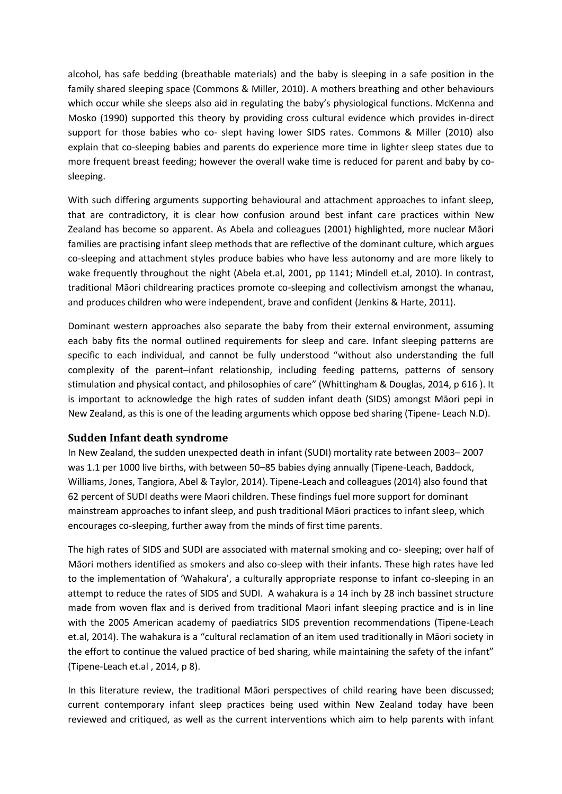alcohol, has safe bedding (breathable materials) and the baby is sleeping in a safe position in the family shared sleeping space (Commons & Miller, 2010). A mothers breathing and other behaviours which occur while she sleeps also aid in regulating the baby's physiological functions. McKenna and Mosko (1990) supported this theory by providing cross cultural evidence which provides in-direct support for those babies who co- slept having lower SIDS rates. Commons & Miller (2010) also explain that co-sleeping babies and parents do experience more time in lighter sleep states due to more frequent breast feeding; however the overall wake time is reduced for parent and baby by cosleeping.

With such differing arguments supporting behavioural and attachment approaches to infant sleep, that are contradictory, it is clear how confusion around best infant care practices within New Zealand has become so apparent. As Abela and colleagues (2001) highlighted, more nuclear Māori families are practising infant sleep methods that are reflective of the dominant culture, which argues co-sleeping and attachment styles produce babies who have less autonomy and are more likely to wake frequently throughout the night (Abela et.al, 2001, pp 1141; Mindell et.al, 2010). In contrast, traditional Māori childrearing practices promote co-sleeping and collectivism amongst the whanau, and produces children who were independent, brave and confident (Jenkins & Harte, 2011).

Dominant western approaches also separate the baby from their external environment, assuming each baby fits the normal outlined requirements for sleep and care. Infant sleeping patterns are specific to each individual, and cannot be fully understood "without also understanding the full complexity of the parent–infant relationship, including feeding patterns, patterns of sensory stimulation and physical contact, and philosophies of care" (Whittingham & Douglas, 2014, p 616 ). It is important to acknowledge the high rates of sudden infant death (SIDS) amongst Māori pepi in New Zealand, as this is one of the leading arguments which oppose bed sharing (Tipene- Leach N.D).

#### <span id="page-14-0"></span>**Sudden Infant death syndrome**

In New Zealand, the sudden unexpected death in infant (SUDI) mortality rate between 2003– 2007 was 1.1 per 1000 live births, with between 50–85 babies dying annually (Tipene-Leach, Baddock, Williams, Jones, Tangiora, Abel & Taylor, 2014). Tipene-Leach and colleagues (2014) also found that 62 percent of SUDI deaths were Maori children. These findings fuel more support for dominant mainstream approaches to infant sleep, and push traditional Māori practices to infant sleep, which encourages co-sleeping, further away from the minds of first time parents.

The high rates of SIDS and SUDI are associated with maternal smoking and co- sleeping; over half of Māori mothers identified as smokers and also co-sleep with their infants. These high rates have led to the implementation of 'Wahakura', a culturally appropriate response to infant co-sleeping in an attempt to reduce the rates of SIDS and SUDI. A wahakura is a 14 inch by 28 inch bassinet structure made from woven flax and is derived from traditional Maori infant sleeping practice and is in line with the 2005 American academy of paediatrics SIDS prevention recommendations (Tipene-Leach et.al, 2014). The wahakura is a "cultural reclamation of an item used traditionally in Māori society in the effort to continue the valued practice of bed sharing, while maintaining the safety of the infant" (Tipene-Leach et.al , 2014, p 8).

In this literature review, the traditional Māori perspectives of child rearing have been discussed; current contemporary infant sleep practices being used within New Zealand today have been reviewed and critiqued, as well as the current interventions which aim to help parents with infant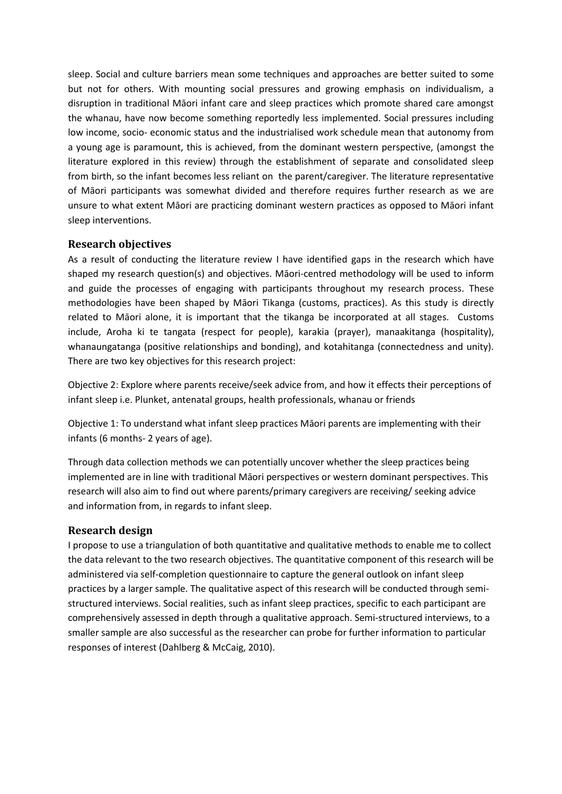sleep. Social and culture barriers mean some techniques and approaches are better suited to some but not for others. With mounting social pressures and growing emphasis on individualism, a disruption in traditional Māori infant care and sleep practices which promote shared care amongst the whanau, have now become something reportedly less implemented. Social pressures including low income, socio- economic status and the industrialised work schedule mean that autonomy from a young age is paramount, this is achieved, from the dominant western perspective, (amongst the literature explored in this review) through the establishment of separate and consolidated sleep from birth, so the infant becomes less reliant on the parent/caregiver. The literature representative of Māori participants was somewhat divided and therefore requires further research as we are unsure to what extent Māori are practicing dominant western practices as opposed to Māori infant sleep interventions.

#### <span id="page-15-0"></span>**Research objectives**

As a result of conducting the literature review I have identified gaps in the research which have shaped my research question(s) and objectives. Māori-centred methodology will be used to inform and guide the processes of engaging with participants throughout my research process. These methodologies have been shaped by Māori Tikanga (customs, practices). As this study is directly related to Māori alone, it is important that the tikanga be incorporated at all stages. Customs include, Aroha ki te tangata (respect for people), karakia (prayer), manaakitanga (hospitality), whanaungatanga (positive relationships and bonding), and kotahitanga (connectedness and unity). There are two key objectives for this research project:

Objective 2: Explore where parents receive/seek advice from, and how it effects their perceptions of infant sleep i.e. Plunket, antenatal groups, health professionals, whanau or friends

Objective 1: To understand what infant sleep practices Māori parents are implementing with their infants (6 months- 2 years of age).

Through data collection methods we can potentially uncover whether the sleep practices being implemented are in line with traditional Māori perspectives or western dominant perspectives. This research will also aim to find out where parents/primary caregivers are receiving/ seeking advice and information from, in regards to infant sleep.

#### <span id="page-15-1"></span>**Research design**

I propose to use a triangulation of both quantitative and qualitative methods to enable me to collect the data relevant to the two research objectives. The quantitative component of this research will be administered via self-completion questionnaire to capture the general outlook on infant sleep practices by a larger sample. The qualitative aspect of this research will be conducted through semistructured interviews. Social realities, such as infant sleep practices, specific to each participant are comprehensively assessed in depth through a qualitative approach. Semi-structured interviews, to a smaller sample are also successful as the researcher can probe for further information to particular responses of interest (Dahlberg & McCaig, 2010).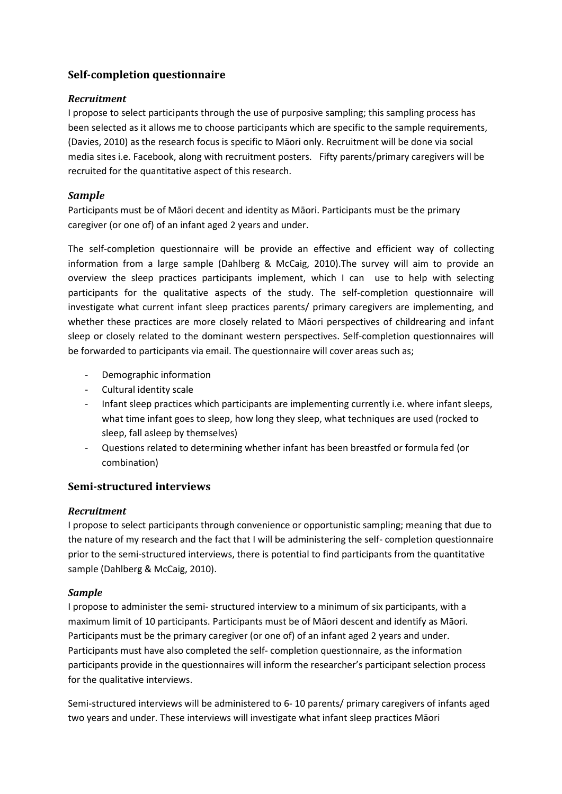# <span id="page-16-0"></span>**Self-completion questionnaire**

#### <span id="page-16-1"></span>*Recruitment*

I propose to select participants through the use of purposive sampling; this sampling process has been selected as it allows me to choose participants which are specific to the sample requirements, (Davies, 2010) as the research focus is specific to Māori only. Recruitment will be done via social media sites i.e. Facebook, along with recruitment posters. Fifty parents/primary caregivers will be recruited for the quantitative aspect of this research.

#### <span id="page-16-2"></span>*Sample*

Participants must be of Māori decent and identity as Māori. Participants must be the primary caregiver (or one of) of an infant aged 2 years and under.

The self-completion questionnaire will be provide an effective and efficient way of collecting information from a large sample (Dahlberg & McCaig, 2010).The survey will aim to provide an overview the sleep practices participants implement, which I can use to help with selecting participants for the qualitative aspects of the study. The self-completion questionnaire will investigate what current infant sleep practices parents/ primary caregivers are implementing, and whether these practices are more closely related to Māori perspectives of childrearing and infant sleep or closely related to the dominant western perspectives. Self-completion questionnaires will be forwarded to participants via email. The questionnaire will cover areas such as;

- Demographic information
- Cultural identity scale
- Infant sleep practices which participants are implementing currently i.e. where infant sleeps, what time infant goes to sleep, how long they sleep, what techniques are used (rocked to sleep, fall asleep by themselves)
- Questions related to determining whether infant has been breastfed or formula fed (or combination)

# <span id="page-16-3"></span>**Semi-structured interviews**

#### <span id="page-16-4"></span>*Recruitment*

I propose to select participants through convenience or opportunistic sampling; meaning that due to the nature of my research and the fact that I will be administering the self- completion questionnaire prior to the semi-structured interviews, there is potential to find participants from the quantitative sample (Dahlberg & McCaig, 2010).

#### <span id="page-16-5"></span>*Sample*

I propose to administer the semi- structured interview to a minimum of six participants, with a maximum limit of 10 participants. Participants must be of Māori descent and identify as Māori. Participants must be the primary caregiver (or one of) of an infant aged 2 years and under. Participants must have also completed the self- completion questionnaire, as the information participants provide in the questionnaires will inform the researcher's participant selection process for the qualitative interviews.

Semi-structured interviews will be administered to 6- 10 parents/ primary caregivers of infants aged two years and under. These interviews will investigate what infant sleep practices Māori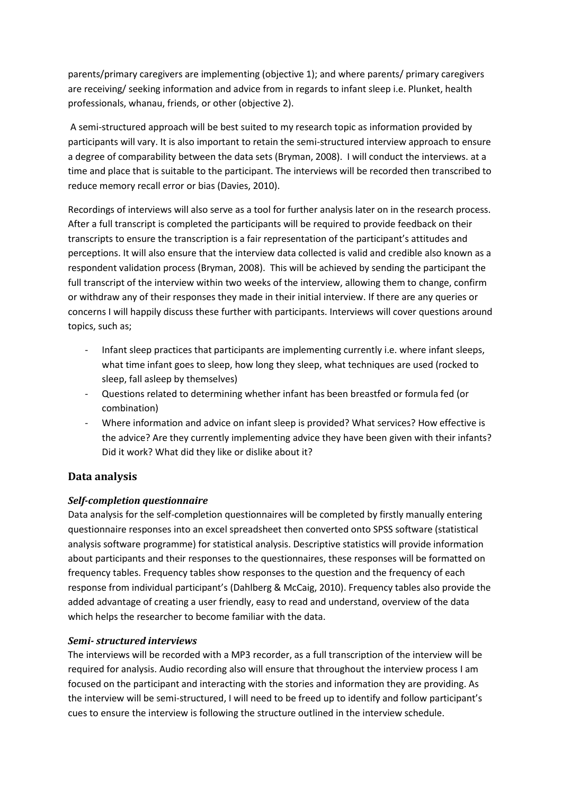parents/primary caregivers are implementing (objective 1); and where parents/ primary caregivers are receiving/ seeking information and advice from in regards to infant sleep i.e. Plunket, health professionals, whanau, friends, or other (objective 2).

A semi-structured approach will be best suited to my research topic as information provided by participants will vary. It is also important to retain the semi-structured interview approach to ensure a degree of comparability between the data sets (Bryman, 2008). I will conduct the interviews. at a time and place that is suitable to the participant. The interviews will be recorded then transcribed to reduce memory recall error or bias (Davies, 2010).

Recordings of interviews will also serve as a tool for further analysis later on in the research process. After a full transcript is completed the participants will be required to provide feedback on their transcripts to ensure the transcription is a fair representation of the participant's attitudes and perceptions. It will also ensure that the interview data collected is valid and credible also known as a respondent validation process (Bryman, 2008). This will be achieved by sending the participant the full transcript of the interview within two weeks of the interview, allowing them to change, confirm or withdraw any of their responses they made in their initial interview. If there are any queries or concerns I will happily discuss these further with participants. Interviews will cover questions around topics, such as;

- Infant sleep practices that participants are implementing currently i.e. where infant sleeps, what time infant goes to sleep, how long they sleep, what techniques are used (rocked to sleep, fall asleep by themselves)
- Questions related to determining whether infant has been breastfed or formula fed (or combination)
- Where information and advice on infant sleep is provided? What services? How effective is the advice? Are they currently implementing advice they have been given with their infants? Did it work? What did they like or dislike about it?

# <span id="page-17-0"></span>**Data analysis**

# <span id="page-17-1"></span>*Self-completion questionnaire*

Data analysis for the self-completion questionnaires will be completed by firstly manually entering questionnaire responses into an excel spreadsheet then converted onto SPSS software (statistical analysis software programme) for statistical analysis. Descriptive statistics will provide information about participants and their responses to the questionnaires, these responses will be formatted on frequency tables. Frequency tables show responses to the question and the frequency of each response from individual participant's (Dahlberg & McCaig, 2010). Frequency tables also provide the added advantage of creating a user friendly, easy to read and understand, overview of the data which helps the researcher to become familiar with the data.

#### <span id="page-17-2"></span>*Semi- structured interviews*

The interviews will be recorded with a MP3 recorder, as a full transcription of the interview will be required for analysis. Audio recording also will ensure that throughout the interview process I am focused on the participant and interacting with the stories and information they are providing. As the interview will be semi-structured, I will need to be freed up to identify and follow participant's cues to ensure the interview is following the structure outlined in the interview schedule.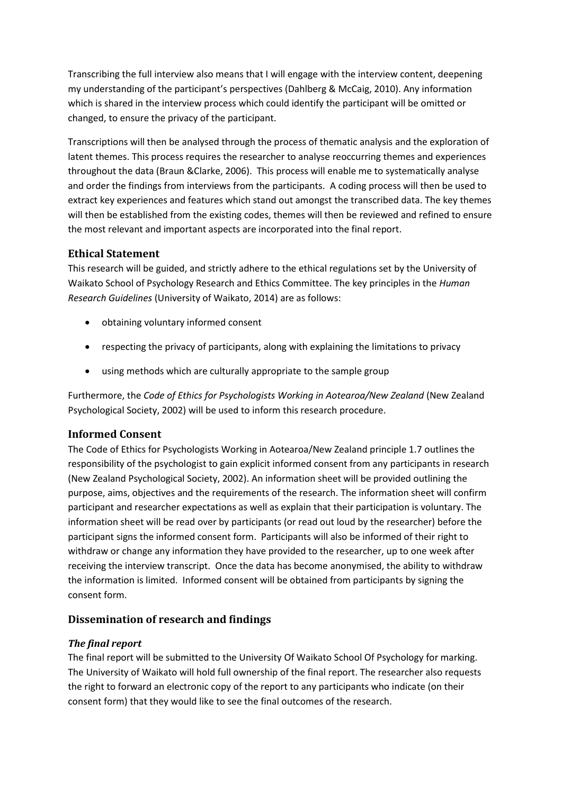Transcribing the full interview also means that I will engage with the interview content, deepening my understanding of the participant's perspectives (Dahlberg & McCaig, 2010). Any information which is shared in the interview process which could identify the participant will be omitted or changed, to ensure the privacy of the participant.

Transcriptions will then be analysed through the process of thematic analysis and the exploration of latent themes. This process requires the researcher to analyse reoccurring themes and experiences throughout the data (Braun &Clarke, 2006). This process will enable me to systematically analyse and order the findings from interviews from the participants. A coding process will then be used to extract key experiences and features which stand out amongst the transcribed data. The key themes will then be established from the existing codes, themes will then be reviewed and refined to ensure the most relevant and important aspects are incorporated into the final report.

# <span id="page-18-0"></span>**Ethical Statement**

This research will be guided, and strictly adhere to the ethical regulations set by the University of Waikato School of Psychology Research and Ethics Committee. The key principles in the *Human Research Guidelines* (University of Waikato, 2014) are as follows:

- obtaining voluntary informed consent
- respecting the privacy of participants, along with explaining the limitations to privacy
- using methods which are culturally appropriate to the sample group

Furthermore, the *Code of Ethics for Psychologists Working in Aotearoa/New Zealand* (New Zealand Psychological Society, 2002) will be used to inform this research procedure.

# <span id="page-18-1"></span>**Informed Consent**

The Code of Ethics for Psychologists Working in Aotearoa/New Zealand principle 1.7 outlines the responsibility of the psychologist to gain explicit informed consent from any participants in research (New Zealand Psychological Society, 2002). An information sheet will be provided outlining the purpose, aims, objectives and the requirements of the research. The information sheet will confirm participant and researcher expectations as well as explain that their participation is voluntary. The information sheet will be read over by participants (or read out loud by the researcher) before the participant signs the informed consent form. Participants will also be informed of their right to withdraw or change any information they have provided to the researcher, up to one week after receiving the interview transcript. Once the data has become anonymised, the ability to withdraw the information is limited. Informed consent will be obtained from participants by signing the consent form.

# <span id="page-18-2"></span>**Dissemination of research and findings**

# <span id="page-18-3"></span>*The final report*

The final report will be submitted to the University Of Waikato School Of Psychology for marking. The University of Waikato will hold full ownership of the final report. The researcher also requests the right to forward an electronic copy of the report to any participants who indicate (on their consent form) that they would like to see the final outcomes of the research.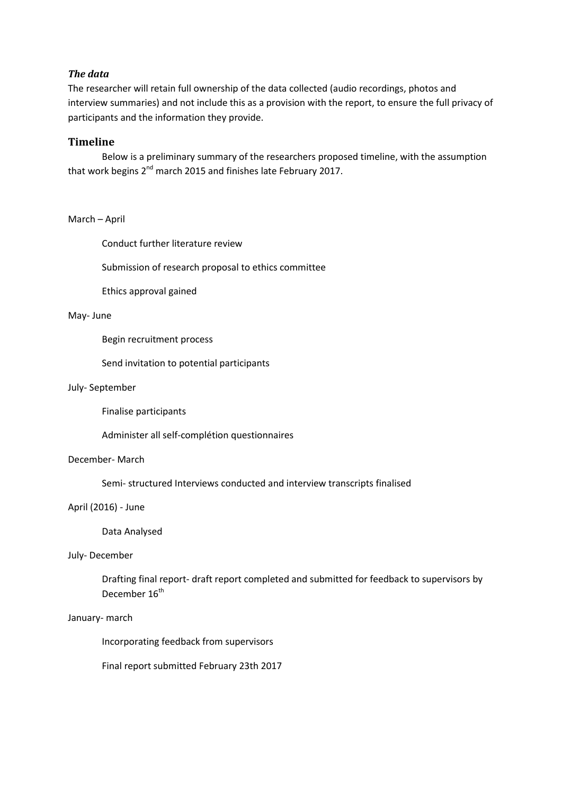#### <span id="page-19-0"></span>*The data*

The researcher will retain full ownership of the data collected (audio recordings, photos and interview summaries) and not include this as a provision with the report, to ensure the full privacy of participants and the information they provide.

#### <span id="page-19-1"></span>**Timeline**

Below is a preliminary summary of the researchers proposed timeline, with the assumption that work begins 2<sup>nd</sup> march 2015 and finishes late February 2017.

#### March – April

Conduct further literature review

Submission of research proposal to ethics committee

Ethics approval gained

#### May- June

Begin recruitment process

Send invitation to potential participants

#### July- September

Finalise participants

Administer all self-complétion questionnaires

#### December- March

Semi- structured Interviews conducted and interview transcripts finalised

#### April (2016) - June

#### Data Analysed

#### July- December

Drafting final report- draft report completed and submitted for feedback to supervisors by December 16<sup>th</sup>

#### January- march

Incorporating feedback from supervisors

Final report submitted February 23th 2017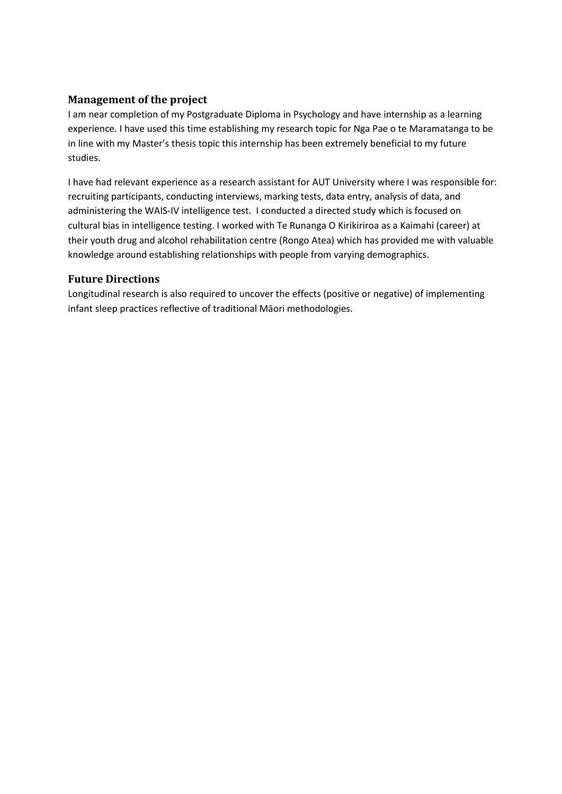# <span id="page-20-0"></span>**Management of the project**

I am near completion of my Postgraduate Diploma in Psychology and have internship as a learning experience. I have used this time establishing my research topic for Nga Pae o te Maramatanga to be in line with my Master's thesis topic this internship has been extremely beneficial to my future studies.

I have had relevant experience as a research assistant for AUT University where I was responsible for: recruiting participants, conducting interviews, marking tests, data entry, analysis of data, and administering the WAIS-IV intelligence test. I conducted a directed study which is focused on cultural bias in intelligence testing. I worked with Te Runanga O Kirikiriroa as a Kaimahi (career) at their youth drug and alcohol rehabilitation centre (Rongo Atea) which has provided me with valuable knowledge around establishing relationships with people from varying demographics.

# <span id="page-20-1"></span>**Future Directions**

Longitudinal research is also required to uncover the effects (positive or negative) of implementing infant sleep practices reflective of traditional Māori methodologies.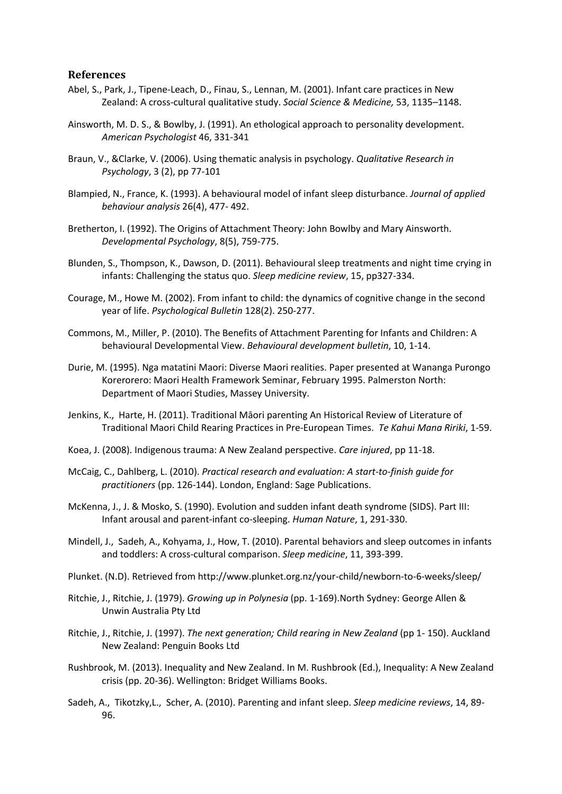#### <span id="page-21-0"></span>**References**

- Abel, S., Park, J., Tipene-Leach, D., Finau, S., Lennan, M. (2001). Infant care practices in New Zealand: A cross-cultural qualitative study. *Social Science & Medicine,* 53, 1135–1148.
- Ainsworth, M. D. S., & Bowlby, J. (1991). An ethological approach to personality development. *American Psychologist* 46, 331-341
- Braun, V., &Clarke, V. (2006). Using thematic analysis in psychology. *Qualitative Research in Psychology*, 3 (2), pp 77-101
- Blampied, N., France, K. (1993). A behavioural model of infant sleep disturbance. *Journal of applied behaviour analysis* 26(4), 477- 492.
- Bretherton, I. (1992). The Origins of Attachment Theory: John Bowlby and Mary Ainsworth. *Developmental Psychology*, 8(5), 759-775.
- Blunden, S., Thompson, K., Dawson, D. (2011). Behavioural sleep treatments and night time crying in infants: Challenging the status quo. *Sleep medicine review*, 15, pp327-334.
- Courage, M., Howe M. (2002). From infant to child: the dynamics of cognitive change in the second year of life. *Psychological Bulletin* 128(2). 250-277.
- Commons, M., Miller, P. (2010). The Benefits of Attachment Parenting for Infants and Children: A behavioural Developmental View. *Behavioural development bulletin*, 10, 1-14.
- Durie, M. (1995). Nga matatini Maori: Diverse Maori realities. Paper presented at Wananga Purongo Korerorero: Maori Health Framework Seminar, February 1995. Palmerston North: Department of Maori Studies, Massey University.
- Jenkins, K., Harte, H. (2011). Traditional Māori parenting An Historical Review of Literature of Traditional Maori Child Rearing Practices in Pre-European Times. *Te Kahui Mana Ririki*, 1-59.
- Koea, J. (2008). Indigenous trauma: A New Zealand perspective. *Care injured*, pp 11-18.
- McCaig, C., Dahlberg, L. (2010). *Practical research and evaluation: A start-to-finish guide for practitioners* (pp. 126-144). London, England: Sage Publications.
- McKenna, J., J. & Mosko, S. (1990). Evolution and sudden infant death syndrome (SIDS). Part III: Infant arousal and parent-infant co-sleeping. *Human Nature*, 1, 291-330.
- Mindell, J., Sadeh, A., Kohyama, J., How, T. (2010). Parental behaviors and sleep outcomes in infants and toddlers: A cross-cultural comparison. *Sleep medicine*, 11, 393-399.
- Plunket. (N.D). Retrieved from http://www.plunket.org.nz/your-child/newborn-to-6-weeks/sleep/
- Ritchie, J., Ritchie, J. (1979). *Growing up in Polynesia* (pp. 1-169).North Sydney: George Allen & Unwin Australia Pty Ltd
- Ritchie, J., Ritchie, J. (1997). *The next generation; Child rearing in New Zealand* (pp 1- 150). Auckland New Zealand: Penguin Books Ltd
- Rushbrook, M. (2013). Inequality and New Zealand. In M. Rushbrook (Ed.), Inequality: A New Zealand crisis (pp. 20-36). Wellington: Bridget Williams Books.
- Sadeh, A., Tikotzky,L., Scher, A. (2010). Parenting and infant sleep. *Sleep medicine reviews*, 14, 89- 96.